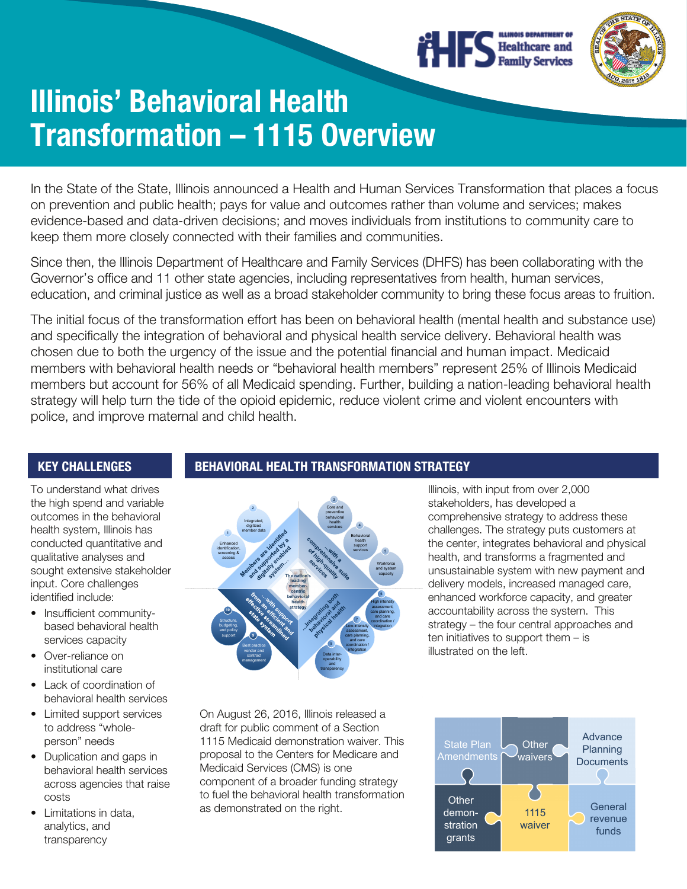



# Illinois' Behavioral Health Transformation – 1115 Overview

In the State of the State, Illinois announced a Health and Human Services Transformation that places a focus on prevention and public health; pays for value and outcomes rather than volume and services; makes evidence-based and data-driven decisions; and moves individuals from institutions to community care to keep them more closely connected with their families and communities.

Since then, the Illinois Department of Healthcare and Family Services (DHFS) has been collaborating with the Governor's office and 11 other state agencies, including representatives from health, human services, education, and criminal justice as well as a broad stakeholder community to bring these focus areas to fruition.

The initial focus of the transformation effort has been on behavioral health (mental health and substance use) and specifically the integration of behavioral and physical health service delivery. Behavioral health was chosen due to both the urgency of the issue and the potential financial and human impact. Medicaid members with behavioral health needs or "behavioral health members" represent 25% of Illinois Medicaid members but account for 56% of all Medicaid spending. Further, building a nation-leading behavioral health strategy will help turn the tide of the opioid epidemic, reduce violent crime and violent encounters with police, and improve maternal and child health.

# KEY CHALLENGES

To understand what drives the high spend and variable outcomes in the behavioral health system, Illinois has conducted quantitative and qualitative analyses and sought extensive stakeholder input. Core challenges identified include:

- Insufficient communitybased behavioral health services capacity
- Over-reliance on institutional care
- Lack of coordination of behavioral health services
- Limited support services to address "wholeperson" needs
- Duplication and gaps in behavioral health services across agencies that raise costs
- Limitations in data, analytics, and transparency

# BEHAVIORAL HEALTH TRANSFORMATION STRATEGY



Illinois, with input from over 2,000 stakeholders, has developed a comprehensive strategy to address these challenges. The strategy puts customers at the center, integrates behavioral and physical health, and transforms a fragmented and unsustainable system with new payment and delivery models, increased managed care, enhanced workforce capacity, and greater accountability across the system. This strategy – the four central approaches and ten initiatives to support them – is illustrated on the left.

On August 26, 2016, Illinois released a draft for public comment of a Section 1115 Medicaid demonstration waiver. This proposal to the Centers for Medicare and Medicaid Services (CMS) is one component of a broader funding strategy to fuel the behavioral health transformation as demonstrated on the right.